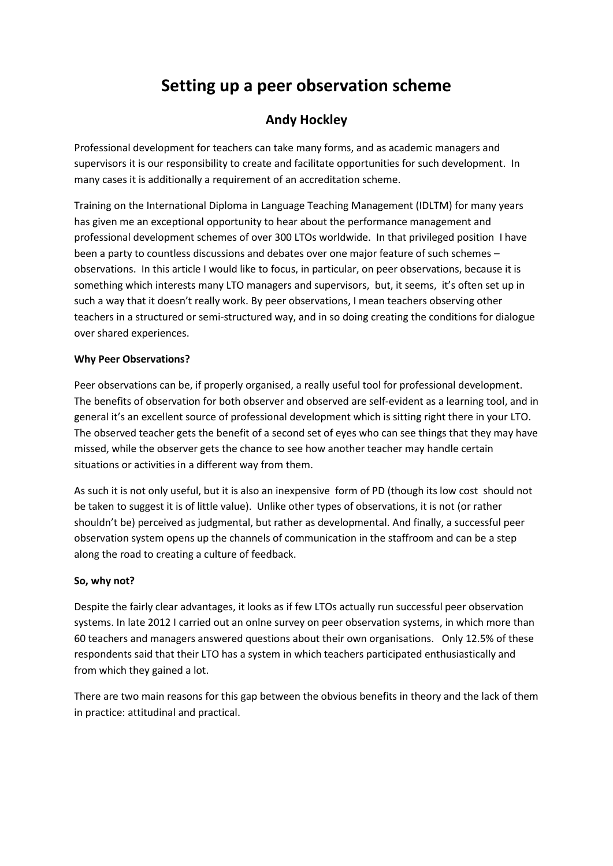# **Setting up a peer observation scheme**

# **Andy Hockley**

Professional development for teachers can take many forms, and as academic managers and supervisors it is our responsibility to create and facilitate opportunities for such development. In many cases it is additionally a requirement of an accreditation scheme.

Training on the International Diploma in Language Teaching Management (IDLTM) for many years has given me an exceptional opportunity to hear about the performance management and professional development schemes of over 300 LTOs worldwide. In that privileged position I have been a party to countless discussions and debates over one major feature of such schemes – observations. In this article I would like to focus, in particular, on peer observations, because it is something which interests many LTO managers and supervisors, but, it seems, it's often set up in such a way that it doesn't really work. By peer observations, I mean teachers observing other teachers in a structured or semi-structured way, and in so doing creating the conditions for dialogue over shared experiences.

# **Why Peer Observations?**

Peer observations can be, if properly organised, a really useful tool for professional development. The benefits of observation for both observer and observed are self-evident as a learning tool, and in general it's an excellent source of professional development which is sitting right there in your LTO. The observed teacher gets the benefit of a second set of eyes who can see things that they may have missed, while the observer gets the chance to see how another teacher may handle certain situations or activities in a different way from them.

As such it is not only useful, but it is also an inexpensive form of PD (though its low cost should not be taken to suggest it is of little value). Unlike other types of observations, it is not (or rather shouldn't be) perceived as judgmental, but rather as developmental. And finally, a successful peer observation system opens up the channels of communication in the staffroom and can be a step along the road to creating a culture of feedback.

# **So, why not?**

Despite the fairly clear advantages, it looks as if few LTOs actually run successful peer observation systems. In late 2012 I carried out an onlne survey on peer observation systems, in which more than 60 teachers and managers answered questions about their own organisations. Only 12.5% of these respondents said that their LTO has a system in which teachers participated enthusiastically and from which they gained a lot.

There are two main reasons for this gap between the obvious benefits in theory and the lack of them in practice: attitudinal and practical.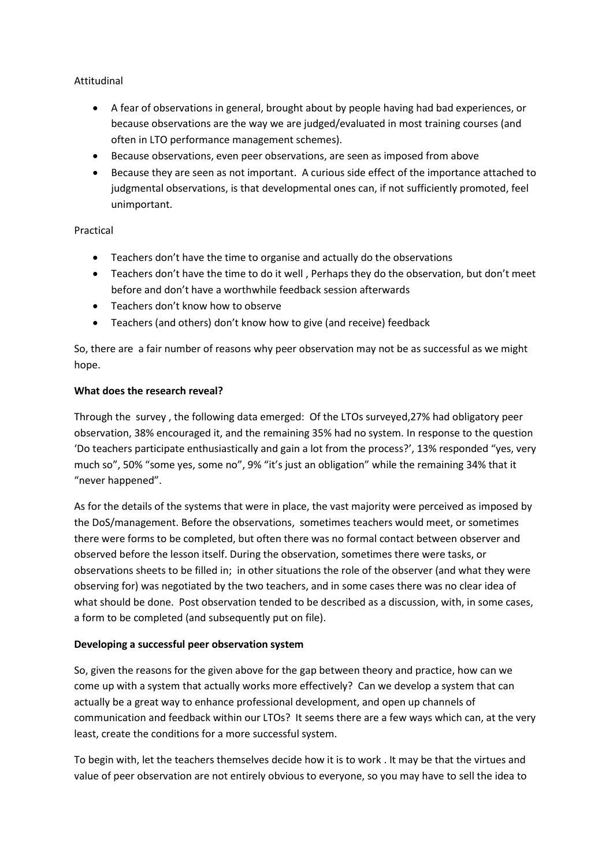### Attitudinal

- A fear of observations in general, brought about by people having had bad experiences, or because observations are the way we are judged/evaluated in most training courses (and often in LTO performance management schemes).
- Because observations, even peer observations, are seen as imposed from above
- Because they are seen as not important. A curious side effect of the importance attached to judgmental observations, is that developmental ones can, if not sufficiently promoted, feel unimportant.

#### Practical

- Teachers don't have the time to organise and actually do the observations
- Teachers don't have the time to do it well , Perhaps they do the observation, but don't meet before and don't have a worthwhile feedback session afterwards
- Teachers don't know how to observe
- Teachers (and others) don't know how to give (and receive) feedback

So, there are a fair number of reasons why peer observation may not be as successful as we might hope.

#### **What does the research reveal?**

Through the survey , the following data emerged: Of the LTOs surveyed,27% had obligatory peer observation, 38% encouraged it, and the remaining 35% had no system. In response to the question 'Do teachers participate enthusiastically and gain a lot from the process?', 13% responded "yes, very much so", 50% "some yes, some no", 9% "it's just an obligation" while the remaining 34% that it "never happened".

As for the details of the systems that were in place, the vast majority were perceived as imposed by the DoS/management. Before the observations, sometimes teachers would meet, or sometimes there were forms to be completed, but often there was no formal contact between observer and observed before the lesson itself. During the observation, sometimes there were tasks, or observations sheets to be filled in; in other situations the role of the observer (and what they were observing for) was negotiated by the two teachers, and in some cases there was no clear idea of what should be done. Post observation tended to be described as a discussion, with, in some cases, a form to be completed (and subsequently put on file).

# **Developing a successful peer observation system**

So, given the reasons for the given above for the gap between theory and practice, how can we come up with a system that actually works more effectively? Can we develop a system that can actually be a great way to enhance professional development, and open up channels of communication and feedback within our LTOs? It seems there are a few ways which can, at the very least, create the conditions for a more successful system.

To begin with, let the teachers themselves decide how it is to work . It may be that the virtues and value of peer observation are not entirely obvious to everyone, so you may have to sell the idea to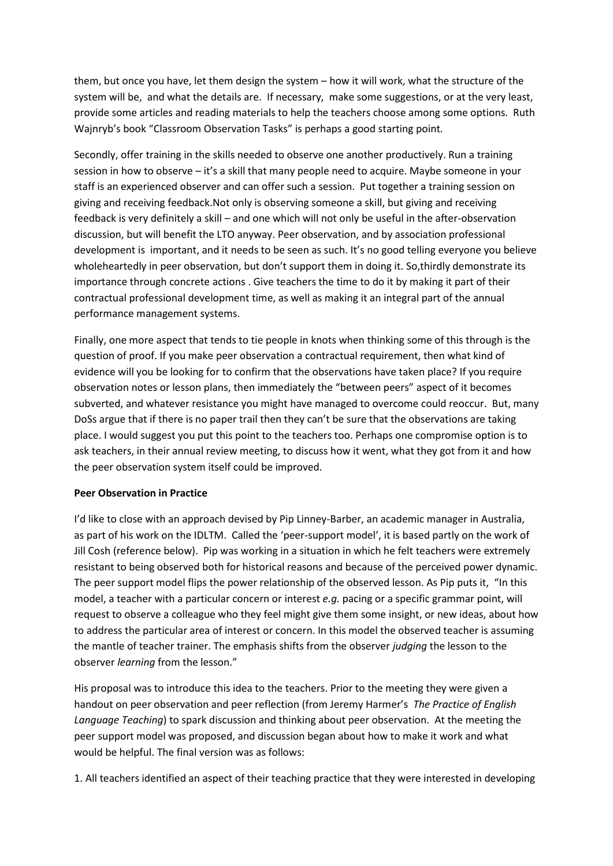them, but once you have, let them design the system – how it will work, what the structure of the system will be, and what the details are. If necessary, make some suggestions, or at the very least, provide some articles and reading materials to help the teachers choose among some options. Ruth Wajnryb's book "Classroom Observation Tasks" is perhaps a good starting point.

Secondly, offer training in the skills needed to observe one another productively. Run a training session in how to observe – it's a skill that many people need to acquire. Maybe someone in your staff is an experienced observer and can offer such a session. Put together a training session on giving and receiving feedback.Not only is observing someone a skill, but giving and receiving feedback is very definitely a skill – and one which will not only be useful in the after-observation discussion, but will benefit the LTO anyway. Peer observation, and by association professional development is important, and it needs to be seen as such. It's no good telling everyone you believe wholeheartedly in peer observation, but don't support them in doing it. So,thirdly demonstrate its importance through concrete actions . Give teachers the time to do it by making it part of their contractual professional development time, as well as making it an integral part of the annual performance management systems.

Finally, one more aspect that tends to tie people in knots when thinking some of this through is the question of proof. If you make peer observation a contractual requirement, then what kind of evidence will you be looking for to confirm that the observations have taken place? If you require observation notes or lesson plans, then immediately the "between peers" aspect of it becomes subverted, and whatever resistance you might have managed to overcome could reoccur. But, many DoSs argue that if there is no paper trail then they can't be sure that the observations are taking place. I would suggest you put this point to the teachers too. Perhaps one compromise option is to ask teachers, in their annual review meeting, to discuss how it went, what they got from it and how the peer observation system itself could be improved.

#### **Peer Observation in Practice**

I'd like to close with an approach devised by Pip Linney-Barber, an academic manager in Australia, as part of his work on the IDLTM. Called the 'peer-support model', it is based partly on the work of Jill Cosh (reference below). Pip was working in a situation in which he felt teachers were extremely resistant to being observed both for historical reasons and because of the perceived power dynamic. The peer support model flips the power relationship of the observed lesson. As Pip puts it, "In this model, a teacher with a particular concern or interest *e.g.* pacing or a specific grammar point, will request to observe a colleague who they feel might give them some insight, or new ideas, about how to address the particular area of interest or concern. In this model the observed teacher is assuming the mantle of teacher trainer. The emphasis shifts from the observer *judging* the lesson to the observer *learning* from the lesson."

His proposal was to introduce this idea to the teachers. Prior to the meeting they were given a handout on peer observation and peer reflection (from Jeremy Harmer's *The Practice of English Language Teaching*) to spark discussion and thinking about peer observation. At the meeting the peer support model was proposed, and discussion began about how to make it work and what would be helpful. The final version was as follows:

1. All teachers identified an aspect of their teaching practice that they were interested in developing